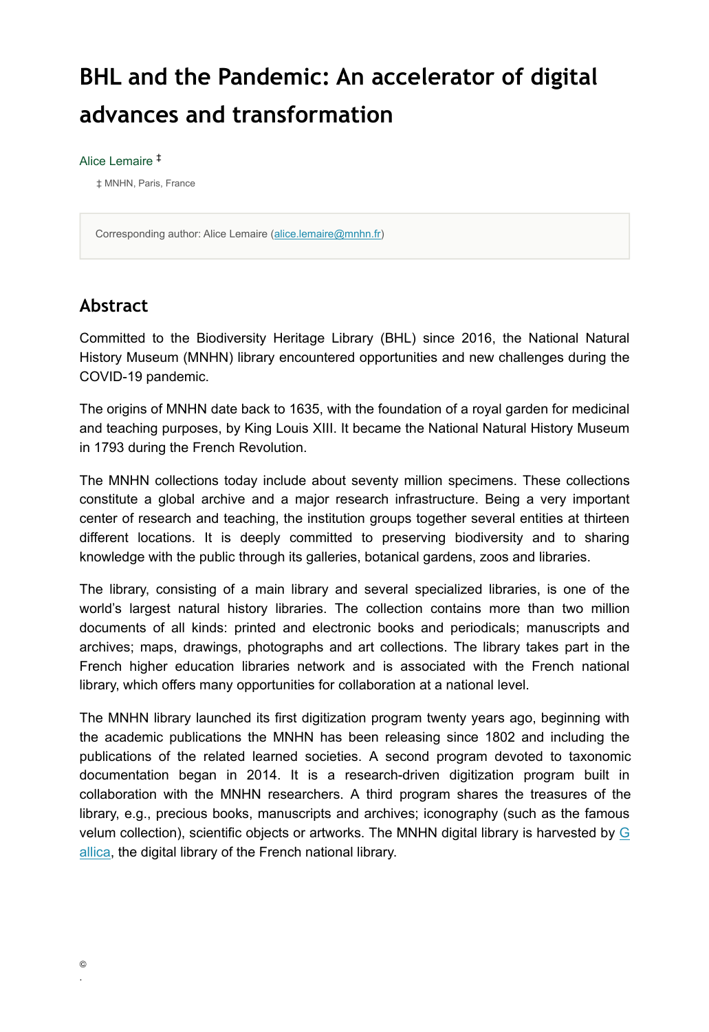# **BHL and the Pandemic: An accelerator of digital advances and transformation**

#### Alice Lemaire ‡

‡ MNHN, Paris, France

Corresponding author: Alice Lemaire ([alice.lemaire@mnhn.fr\)](mailto:alice.lemaire@mnhn.fr)

### **Abstract**

Committed to the Biodiversity Heritage Library (BHL) since 2016, the National Natural History Museum (MNHN) library encountered opportunities and new challenges during the COVID-19 pandemic.

The origins of MNHN date back to 1635, with the foundation of a royal garden for medicinal and teaching purposes, by King Louis XIII. It became the National Natural History Museum in 1793 during the French Revolution.

The MNHN collections today include about seventy million specimens. These collections constitute a global archive and a major research infrastructure. Being a very important center of research and teaching, the institution groups together several entities at thirteen different locations. It is deeply committed to preserving biodiversity and to sharing knowledge with the public through its galleries, botanical gardens, zoos and libraries.

The library, consisting of a main library and several specialized libraries, is one of the world's largest natural history libraries. The collection contains more than two million documents of all kinds: printed and electronic books and periodicals; manuscripts and archives; maps, drawings, photographs and art collections. The library takes part in the French higher education libraries network and is associated with the French national library, which offers many opportunities for collaboration at a national level.

The MNHN library launched its first digitization program twenty years ago, beginning with the academic publications the MNHN has been releasing since 1802 and including the publications of the related learned societies. A second program devoted to taxonomic documentation began in 2014. It is a research-driven digitization program built in collaboration with the MNHN researchers. A third program shares the treasures of the library, e.g., precious books, manuscripts and archives; iconography (such as the famous velum collection), scientific objects or artworks. The MNHN digital library is harvested by [G](http://gallica.bnf.fr) [allica,](http://gallica.bnf.fr) the digital library of the French national library.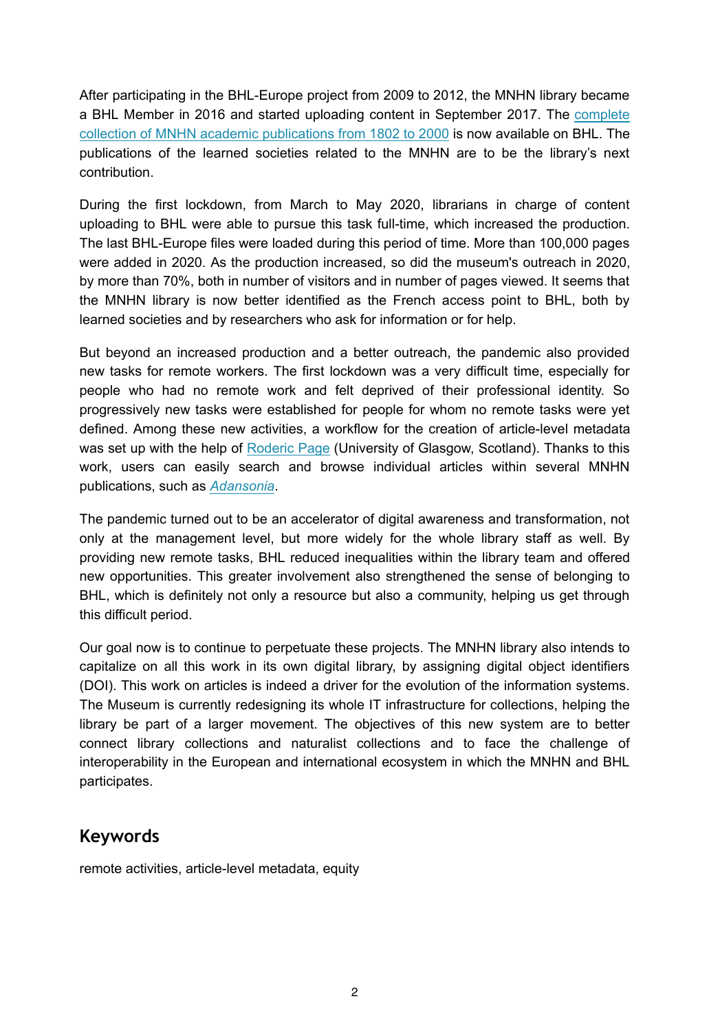After participating in the BHL-Europe project from 2009 to 2012, the MNHN library became a BHL Member in 2016 and started uploading content in September 2017. The [complete](https://www.biodiversitylibrary.org/browse/contributor/MNHN#/titles) [collection of MNHN academic publications from 1802 to 2000](https://www.biodiversitylibrary.org/browse/contributor/MNHN#/titles) is now available on BHL. The publications of the learned societies related to the MNHN are to be the library's next contribution.

During the first lockdown, from March to May 2020, librarians in charge of content uploading to BHL were able to pursue this task full-time, which increased the production. The last BHL-Europe files were loaded during this period of time. More than 100,000 pages were added in 2020. As the production increased, so did the museum's outreach in 2020, by more than 70%, both in number of visitors and in number of pages viewed. It seems that the MNHN library is now better identified as the French access point to BHL, both by learned societies and by researchers who ask for information or for help.

But beyond an increased production and a better outreach, the pandemic also provided new tasks for remote workers. The first lockdown was a very difficult time, especially for people who had no remote work and felt deprived of their professional identity. So progressively new tasks were established for people for whom no remote tasks were yet defined. Among these new activities, a workflow for the creation of article-level metadata was set up with the help of [Roderic Page](https://orcid.org/0000-0002-7101-9767) (University of Glasgow, Scotland). Thanks to this work, users can easily search and browse individual articles within several MNHN publications, such as *[Adansonia](https://www.biodiversitylibrary.org/item/252209#page/1/mode/1up)*.

The pandemic turned out to be an accelerator of digital awareness and transformation, not only at the management level, but more widely for the whole library staff as well. By providing new remote tasks, BHL reduced inequalities within the library team and offered new opportunities. This greater involvement also strengthened the sense of belonging to BHL, which is definitely not only a resource but also a community, helping us get through this difficult period.

Our goal now is to continue to perpetuate these projects. The MNHN library also intends to capitalize on all this work in its own digital library, by assigning digital object identifiers (DOI). This work on articles is indeed a driver for the evolution of the information systems. The Museum is currently redesigning its whole IT infrastructure for collections, helping the library be part of a larger movement. The objectives of this new system are to better connect library collections and naturalist collections and to face the challenge of interoperability in the European and international ecosystem in which the MNHN and BHL participates.

### **Keywords**

remote activities, article-level metadata, equity